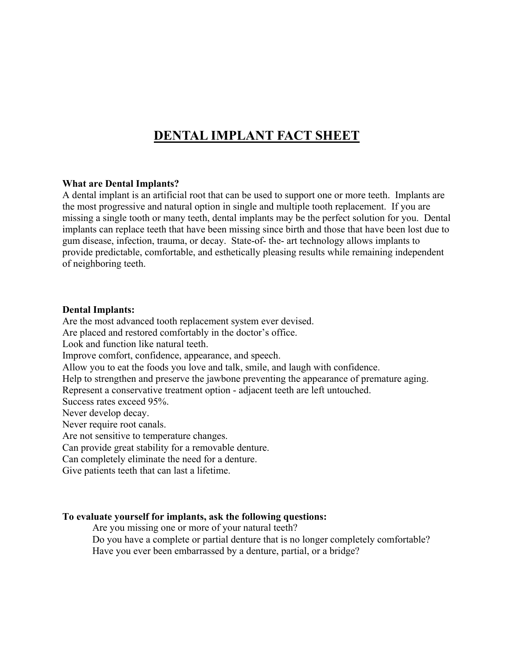# **DENTAL IMPLANT FACT SHEET**

## **What are Dental Implants?**

A dental implant is an artificial root that can be used to support one or more teeth. Implants are the most progressive and natural option in single and multiple tooth replacement. If you are missing a single tooth or many teeth, dental implants may be the perfect solution for you. Dental implants can replace teeth that have been missing since birth and those that have been lost due to gum disease, infection, trauma, or decay. State-of- the- art technology allows implants to provide predictable, comfortable, and esthetically pleasing results while remaining independent of neighboring teeth.

## **Dental Implants:**

Are the most advanced tooth replacement system ever devised.

Are placed and restored comfortably in the doctor's office.

Look and function like natural teeth.

Improve comfort, confidence, appearance, and speech.

Allow you to eat the foods you love and talk, smile, and laugh with confidence.

Help to strengthen and preserve the jawbone preventing the appearance of premature aging.

Represent a conservative treatment option - adjacent teeth are left untouched.

Success rates exceed 95%.

Never develop decay.

Never require root canals.

Are not sensitive to temperature changes.

Can provide great stability for a removable denture.

Can completely eliminate the need for a denture.

Give patients teeth that can last a lifetime.

## **To evaluate yourself for implants, ask the following questions:**

Are you missing one or more of your natural teeth?

Do you have a complete or partial denture that is no longer completely comfortable? Have you ever been embarrassed by a denture, partial, or a bridge?